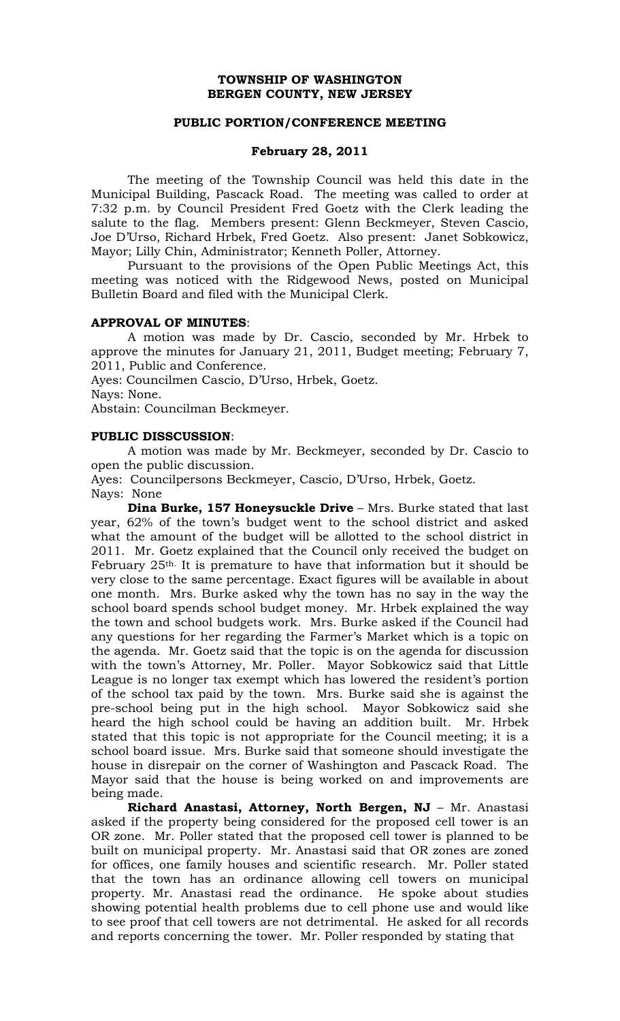## **TOWNSHIP OF WASHINGTON BERGEN COUNTY, NEW JERSEY**

## **PUBLIC PORTION/CONFERENCE MEETING**

## **February 28, 2011**

The meeting of the Township Council was held this date in the Municipal Building, Pascack Road. The meeting was called to order at 7:32 p.m. by Council President Fred Goetz with the Clerk leading the salute to the flag. Members present: Glenn Beckmeyer, Steven Cascio, Joe D'Urso, Richard Hrbek, Fred Goetz. Also present: Janet Sobkowicz, Mayor; Lilly Chin, Administrator; Kenneth Poller, Attorney.

 Pursuant to the provisions of the Open Public Meetings Act, this meeting was noticed with the Ridgewood News, posted on Municipal Bulletin Board and filed with the Municipal Clerk.

## **APPROVAL OF MINUTES**:

 A motion was made by Dr. Cascio, seconded by Mr. Hrbek to approve the minutes for January 21, 2011, Budget meeting; February 7, 2011, Public and Conference.

Ayes: Councilmen Cascio, D'Urso, Hrbek, Goetz.

Nays: None.

Abstain: Councilman Beckmeyer.

# **PUBLIC DISSCUSSION**:

A motion was made by Mr. Beckmeyer, seconded by Dr. Cascio to open the public discussion.

Ayes: Councilpersons Beckmeyer, Cascio, D'Urso, Hrbek, Goetz.

Nays: None **Dina Burke, 157 Honeysuckle Drive** – Mrs. Burke stated that last year, 62% of the town's budget went to the school district and asked what the amount of the budget will be allotted to the school district in 2011. Mr. Goetz explained that the Council only received the budget on February 25th. It is premature to have that information but it should be very close to the same percentage. Exact figures will be available in about one month. Mrs. Burke asked why the town has no say in the way the school board spends school budget money. Mr. Hrbek explained the way the town and school budgets work. Mrs. Burke asked if the Council had any questions for her regarding the Farmer's Market which is a topic on the agenda. Mr. Goetz said that the topic is on the agenda for discussion with the town's Attorney, Mr. Poller. Mayor Sobkowicz said that Little League is no longer tax exempt which has lowered the resident's portion of the school tax paid by the town. Mrs. Burke said she is against the pre-school being put in the high school. Mayor Sobkowicz said she heard the high school could be having an addition built. Mr. Hrbek stated that this topic is not appropriate for the Council meeting; it is a school board issue. Mrs. Burke said that someone should investigate the house in disrepair on the corner of Washington and Pascack Road. The Mayor said that the house is being worked on and improvements are being made.

**Richard Anastasi, Attorney, North Bergen, NJ** – Mr. Anastasi asked if the property being considered for the proposed cell tower is an OR zone. Mr. Poller stated that the proposed cell tower is planned to be built on municipal property. Mr. Anastasi said that OR zones are zoned for offices, one family houses and scientific research. Mr. Poller stated that the town has an ordinance allowing cell towers on municipal property. Mr. Anastasi read the ordinance. He spoke about studies showing potential health problems due to cell phone use and would like to see proof that cell towers are not detrimental. He asked for all records and reports concerning the tower. Mr. Poller responded by stating that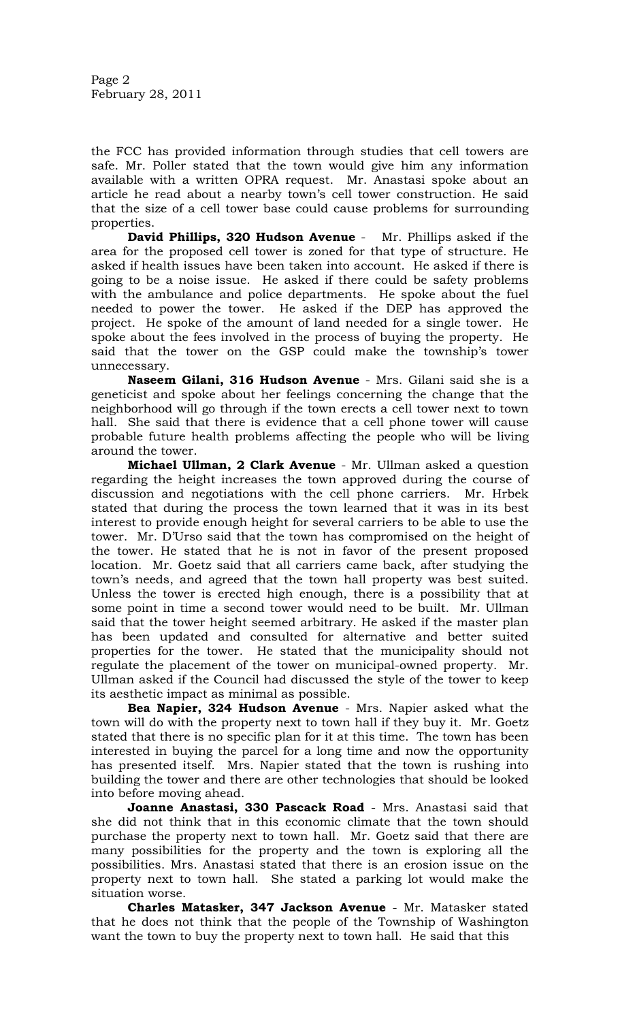Page 2 February 28, 2011

the FCC has provided information through studies that cell towers are safe. Mr. Poller stated that the town would give him any information available with a written OPRA request. Mr. Anastasi spoke about an article he read about a nearby town's cell tower construction. He said that the size of a cell tower base could cause problems for surrounding properties.

**David Phillips, 320 Hudson Avenue** - Mr. Phillips asked if the area for the proposed cell tower is zoned for that type of structure. He asked if health issues have been taken into account. He asked if there is going to be a noise issue. He asked if there could be safety problems with the ambulance and police departments. He spoke about the fuel needed to power the tower. He asked if the DEP has approved the project. He spoke of the amount of land needed for a single tower. He spoke about the fees involved in the process of buying the property. He said that the tower on the GSP could make the township's tower unnecessary.

**Naseem Gilani, 316 Hudson Avenue** - Mrs. Gilani said she is a geneticist and spoke about her feelings concerning the change that the neighborhood will go through if the town erects a cell tower next to town hall. She said that there is evidence that a cell phone tower will cause probable future health problems affecting the people who will be living around the tower.

**Michael Ullman, 2 Clark Avenue** - Mr. Ullman asked a question regarding the height increases the town approved during the course of discussion and negotiations with the cell phone carriers. Mr. Hrbek stated that during the process the town learned that it was in its best interest to provide enough height for several carriers to be able to use the tower. Mr. D'Urso said that the town has compromised on the height of the tower. He stated that he is not in favor of the present proposed location. Mr. Goetz said that all carriers came back, after studying the town's needs, and agreed that the town hall property was best suited. Unless the tower is erected high enough, there is a possibility that at some point in time a second tower would need to be built. Mr. Ullman said that the tower height seemed arbitrary. He asked if the master plan has been updated and consulted for alternative and better suited properties for the tower. He stated that the municipality should not regulate the placement of the tower on municipal-owned property. Mr. Ullman asked if the Council had discussed the style of the tower to keep its aesthetic impact as minimal as possible.

**Bea Napier, 324 Hudson Avenue** - Mrs. Napier asked what the town will do with the property next to town hall if they buy it. Mr. Goetz stated that there is no specific plan for it at this time. The town has been interested in buying the parcel for a long time and now the opportunity has presented itself. Mrs. Napier stated that the town is rushing into building the tower and there are other technologies that should be looked into before moving ahead.

**Joanne Anastasi, 330 Pascack Road** - Mrs. Anastasi said that she did not think that in this economic climate that the town should purchase the property next to town hall. Mr. Goetz said that there are many possibilities for the property and the town is exploring all the possibilities. Mrs. Anastasi stated that there is an erosion issue on the property next to town hall. She stated a parking lot would make the situation worse.

**Charles Matasker, 347 Jackson Avenue** - Mr. Matasker stated that he does not think that the people of the Township of Washington want the town to buy the property next to town hall. He said that this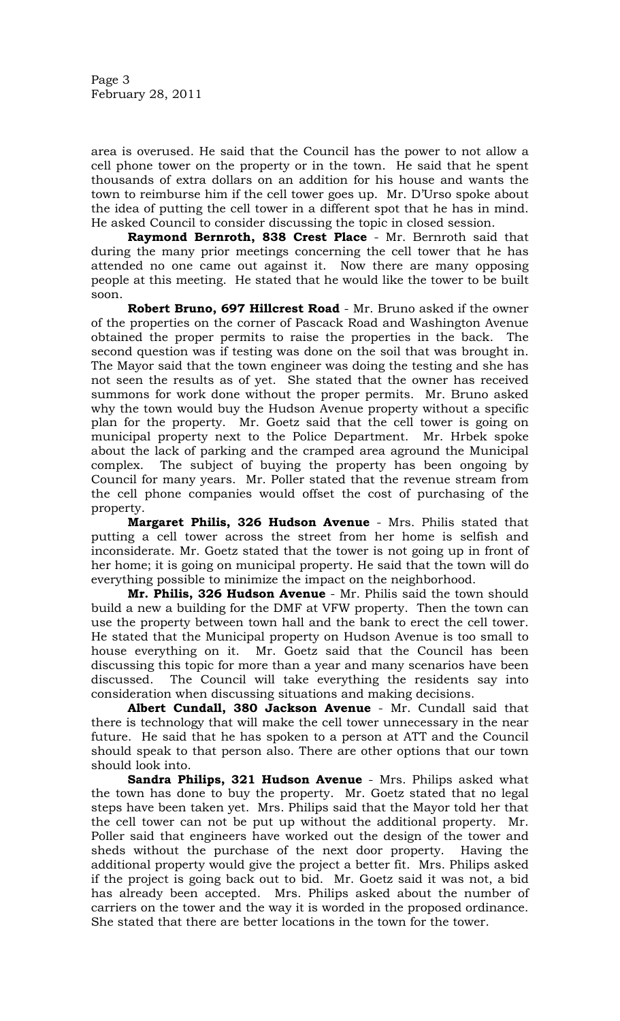Page 3 February 28, 2011

area is overused. He said that the Council has the power to not allow a cell phone tower on the property or in the town. He said that he spent thousands of extra dollars on an addition for his house and wants the town to reimburse him if the cell tower goes up. Mr. D'Urso spoke about the idea of putting the cell tower in a different spot that he has in mind. He asked Council to consider discussing the topic in closed session.

**Raymond Bernroth, 838 Crest Place** - Mr. Bernroth said that during the many prior meetings concerning the cell tower that he has attended no one came out against it. Now there are many opposing people at this meeting. He stated that he would like the tower to be built soon.

**Robert Bruno, 697 Hillcrest Road** - Mr. Bruno asked if the owner of the properties on the corner of Pascack Road and Washington Avenue obtained the proper permits to raise the properties in the back. The second question was if testing was done on the soil that was brought in. The Mayor said that the town engineer was doing the testing and she has not seen the results as of yet. She stated that the owner has received summons for work done without the proper permits. Mr. Bruno asked why the town would buy the Hudson Avenue property without a specific plan for the property. Mr. Goetz said that the cell tower is going on municipal property next to the Police Department. Mr. Hrbek spoke about the lack of parking and the cramped area aground the Municipal complex. The subject of buying the property has been ongoing by Council for many years. Mr. Poller stated that the revenue stream from the cell phone companies would offset the cost of purchasing of the property.

**Margaret Philis, 326 Hudson Avenue** - Mrs. Philis stated that putting a cell tower across the street from her home is selfish and inconsiderate. Mr. Goetz stated that the tower is not going up in front of her home; it is going on municipal property. He said that the town will do everything possible to minimize the impact on the neighborhood.

**Mr. Philis, 326 Hudson Avenue** - Mr. Philis said the town should build a new a building for the DMF at VFW property. Then the town can use the property between town hall and the bank to erect the cell tower. He stated that the Municipal property on Hudson Avenue is too small to house everything on it. Mr. Goetz said that the Council has been discussing this topic for more than a year and many scenarios have been discussed. The Council will take everything the residents say into consideration when discussing situations and making decisions.

**Albert Cundall, 380 Jackson Avenue** - Mr. Cundall said that there is technology that will make the cell tower unnecessary in the near future. He said that he has spoken to a person at ATT and the Council should speak to that person also. There are other options that our town should look into.

**Sandra Philips, 321 Hudson Avenue** - Mrs. Philips asked what the town has done to buy the property. Mr. Goetz stated that no legal steps have been taken yet. Mrs. Philips said that the Mayor told her that the cell tower can not be put up without the additional property. Mr. Poller said that engineers have worked out the design of the tower and sheds without the purchase of the next door property. Having the additional property would give the project a better fit. Mrs. Philips asked if the project is going back out to bid. Mr. Goetz said it was not, a bid has already been accepted. Mrs. Philips asked about the number of carriers on the tower and the way it is worded in the proposed ordinance. She stated that there are better locations in the town for the tower.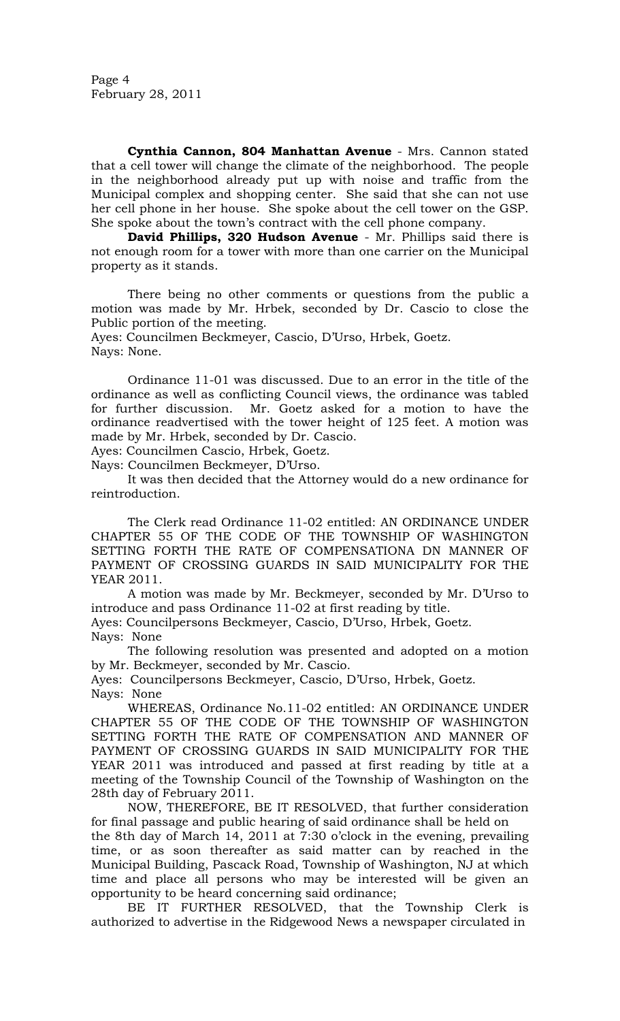Page 4 February 28, 2011

**Cynthia Cannon, 804 Manhattan Avenue** - Mrs. Cannon stated that a cell tower will change the climate of the neighborhood. The people in the neighborhood already put up with noise and traffic from the Municipal complex and shopping center. She said that she can not use her cell phone in her house. She spoke about the cell tower on the GSP. She spoke about the town's contract with the cell phone company.

**David Phillips, 320 Hudson Avenue** - Mr. Phillips said there is not enough room for a tower with more than one carrier on the Municipal property as it stands.

There being no other comments or questions from the public a motion was made by Mr. Hrbek, seconded by Dr. Cascio to close the Public portion of the meeting.

Ayes: Councilmen Beckmeyer, Cascio, D'Urso, Hrbek, Goetz. Nays: None.

 Ordinance 11-01 was discussed. Due to an error in the title of the ordinance as well as conflicting Council views, the ordinance was tabled for further discussion. Mr. Goetz asked for a motion to have the ordinance readvertised with the tower height of 125 feet. A motion was made by Mr. Hrbek, seconded by Dr. Cascio.

Ayes: Councilmen Cascio, Hrbek, Goetz.

Nays: Councilmen Beckmeyer, D'Urso.

 It was then decided that the Attorney would do a new ordinance for reintroduction.

The Clerk read Ordinance 11-02 entitled: AN ORDINANCE UNDER CHAPTER 55 OF THE CODE OF THE TOWNSHIP OF WASHINGTON SETTING FORTH THE RATE OF COMPENSATIONA DN MANNER OF PAYMENT OF CROSSING GUARDS IN SAID MUNICIPALITY FOR THE YEAR 2011.

A motion was made by Mr. Beckmeyer, seconded by Mr. D'Urso to introduce and pass Ordinance 11-02 at first reading by title.

Ayes: Councilpersons Beckmeyer, Cascio, D'Urso, Hrbek, Goetz. Nays: None

The following resolution was presented and adopted on a motion by Mr. Beckmeyer, seconded by Mr. Cascio.

Ayes: Councilpersons Beckmeyer, Cascio, D'Urso, Hrbek, Goetz. Nays: None

 WHEREAS, Ordinance No.11-02 entitled: AN ORDINANCE UNDER CHAPTER 55 OF THE CODE OF THE TOWNSHIP OF WASHINGTON SETTING FORTH THE RATE OF COMPENSATION AND MANNER OF PAYMENT OF CROSSING GUARDS IN SAID MUNICIPALITY FOR THE YEAR 2011 was introduced and passed at first reading by title at a meeting of the Township Council of the Township of Washington on the 28th day of February 2011.

 NOW, THEREFORE, BE IT RESOLVED, that further consideration for final passage and public hearing of said ordinance shall be held on the 8th day of March 14, 2011 at 7:30 o'clock in the evening, prevailing time, or as soon thereafter as said matter can by reached in the Municipal Building, Pascack Road, Township of Washington, NJ at which time and place all persons who may be interested will be given an opportunity to be heard concerning said ordinance;

 BE IT FURTHER RESOLVED, that the Township Clerk is authorized to advertise in the Ridgewood News a newspaper circulated in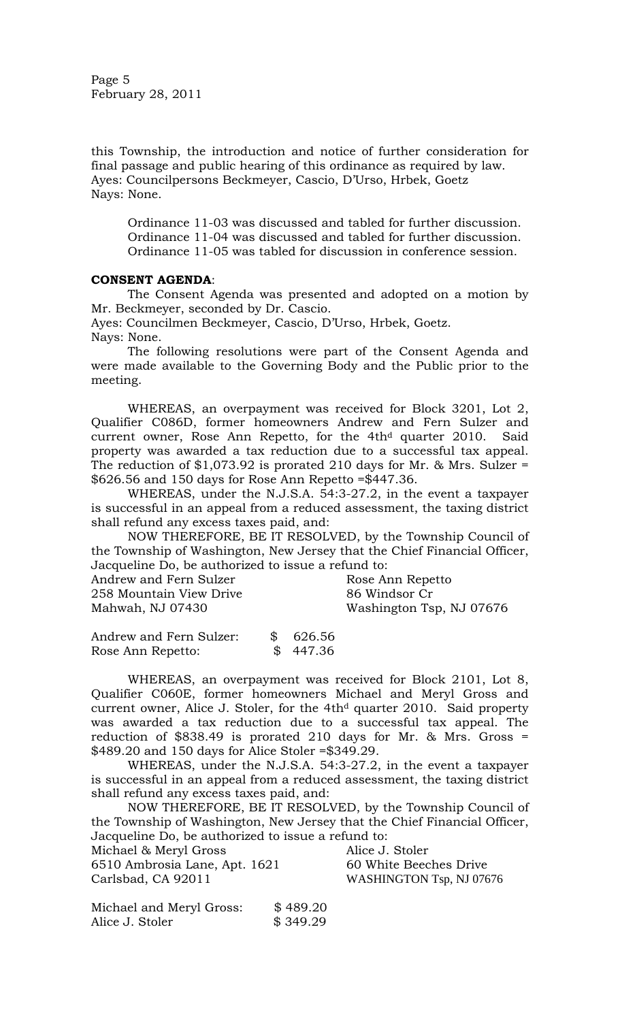Page 5 February 28, 2011

this Township, the introduction and notice of further consideration for final passage and public hearing of this ordinance as required by law. Ayes: Councilpersons Beckmeyer, Cascio, D'Urso, Hrbek, Goetz Nays: None.

Ordinance 11-03 was discussed and tabled for further discussion. Ordinance 11-04 was discussed and tabled for further discussion. Ordinance 11-05 was tabled for discussion in conference session.

# **CONSENT AGENDA**:

The Consent Agenda was presented and adopted on a motion by Mr. Beckmeyer, seconded by Dr. Cascio.

Ayes: Councilmen Beckmeyer, Cascio, D'Urso, Hrbek, Goetz. Nays: None.

The following resolutions were part of the Consent Agenda and were made available to the Governing Body and the Public prior to the meeting.

 WHEREAS, an overpayment was received for Block 3201, Lot 2, Qualifier C086D, former homeowners Andrew and Fern Sulzer and current owner, Rose Ann Repetto, for the 4th<sup>d</sup> quarter 2010. Said property was awarded a tax reduction due to a successful tax appeal. The reduction of  $$1,073.92$  is prorated 210 days for Mr. & Mrs. Sulzer = \$626.56 and 150 days for Rose Ann Repetto =\$447.36.

WHEREAS, under the N.J.S.A. 54:3-27.2, in the event a taxpayer is successful in an appeal from a reduced assessment, the taxing district shall refund any excess taxes paid, and:

NOW THEREFORE, BE IT RESOLVED, by the Township Council of the Township of Washington, New Jersey that the Chief Financial Officer, Jacqueline Do, be authorized to issue a refund to:

| Andrew and Fern Sulzer  | Rose Ann Repetto         |
|-------------------------|--------------------------|
| 258 Mountain View Drive | 86 Windsor Cr            |
| Mahwah, NJ 07430        | Washington Tsp, NJ 07676 |

Andrew and Fern Sulzer: \$ 626.56 Rose Ann Repetto: \$ 447.36

WHEREAS, an overpayment was received for Block 2101, Lot 8, Qualifier C060E, former homeowners Michael and Meryl Gross and current owner, Alice J. Stoler, for the 4th<sup>d</sup> quarter 2010. Said property was awarded a tax reduction due to a successful tax appeal. The reduction of \$838.49 is prorated 210 days for Mr. & Mrs. Gross = \$489.20 and 150 days for Alice Stoler =\$349.29.

WHEREAS, under the N.J.S.A. 54:3-27.2, in the event a taxpayer is successful in an appeal from a reduced assessment, the taxing district shall refund any excess taxes paid, and:

NOW THEREFORE, BE IT RESOLVED, by the Township Council of the Township of Washington, New Jersey that the Chief Financial Officer, Jacqueline Do, be authorized to issue a refund to:

Michael & Meryl Gross Alice J. Stoler

6510 Ambrosia Lane, Apt. 1621 60 White Beeches Drive Carlsbad, CA 92011 WASHINGTON Tsp, NJ 07676

| Michael and Meryl Gross: | \$489.20 |
|--------------------------|----------|
| Alice J. Stoler          | \$349.29 |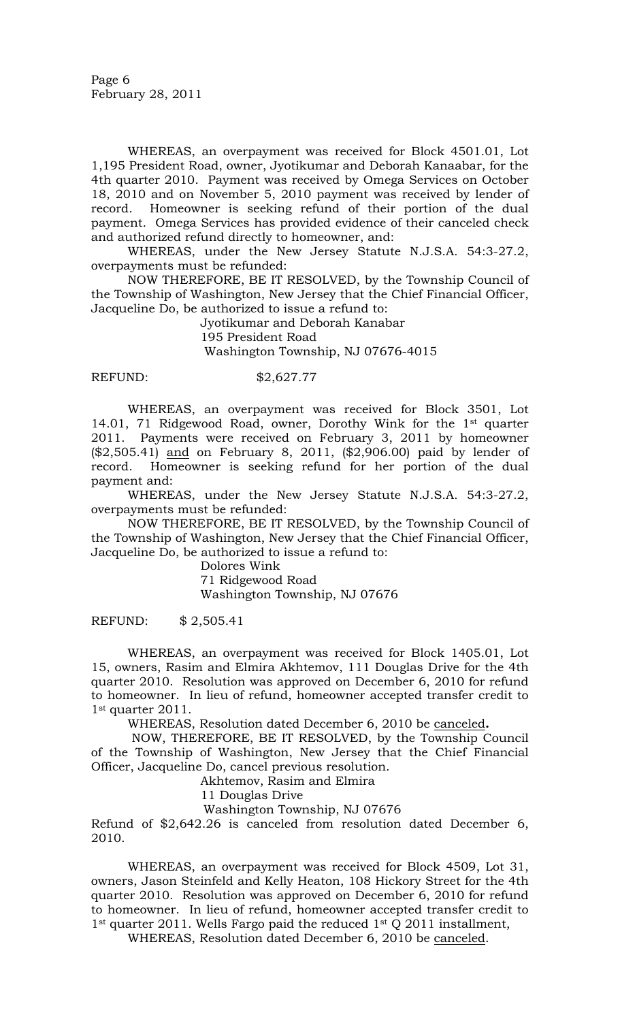WHEREAS, an overpayment was received for Block 4501.01, Lot 1,195 President Road, owner, Jyotikumar and Deborah Kanaabar, for the 4th quarter 2010. Payment was received by Omega Services on October 18, 2010 and on November 5, 2010 payment was received by lender of record. Homeowner is seeking refund of their portion of the dual payment. Omega Services has provided evidence of their canceled check and authorized refund directly to homeowner, and:

WHEREAS, under the New Jersey Statute N.J.S.A. 54:3-27.2, overpayments must be refunded:

NOW THEREFORE, BE IT RESOLVED, by the Township Council of the Township of Washington, New Jersey that the Chief Financial Officer, Jacqueline Do, be authorized to issue a refund to:

Jyotikumar and Deborah Kanabar

195 President Road

Washington Township, NJ 07676-4015

## REFUND: \$2,627.77

WHEREAS, an overpayment was received for Block 3501, Lot 14.01, 71 Ridgewood Road, owner, Dorothy Wink for the 1st quarter 2011. Payments were received on February 3, 2011 by homeowner (\$2,505.41) and on February 8, 2011, (\$2,906.00) paid by lender of record. Homeowner is seeking refund for her portion of the dual payment and:

WHEREAS, under the New Jersey Statute N.J.S.A. 54:3-27.2, overpayments must be refunded:

NOW THEREFORE, BE IT RESOLVED, by the Township Council of the Township of Washington, New Jersey that the Chief Financial Officer, Jacqueline Do, be authorized to issue a refund to:

Dolores Wink

71 Ridgewood Road

Washington Township, NJ 07676

REFUND: \$ 2,505.41

WHEREAS, an overpayment was received for Block 1405.01, Lot 15, owners, Rasim and Elmira Akhtemov, 111 Douglas Drive for the 4th quarter 2010. Resolution was approved on December 6, 2010 for refund to homeowner. In lieu of refund, homeowner accepted transfer credit to 1<sup>st</sup> quarter 2011.

WHEREAS, Resolution dated December 6, 2010 be canceled**.**

NOW, THEREFORE, BE IT RESOLVED, by the Township Council of the Township of Washington, New Jersey that the Chief Financial Officer, Jacqueline Do, cancel previous resolution.

Akhtemov, Rasim and Elmira

11 Douglas Drive

Washington Township, NJ 07676

Refund of \$2,642.26 is canceled from resolution dated December 6, 2010.

WHEREAS, an overpayment was received for Block 4509, Lot 31, owners, Jason Steinfeld and Kelly Heaton, 108 Hickory Street for the 4th quarter 2010. Resolution was approved on December 6, 2010 for refund to homeowner. In lieu of refund, homeowner accepted transfer credit to 1<sup>st</sup> quarter 2011. Wells Fargo paid the reduced 1<sup>st</sup> Q 2011 installment,

WHEREAS, Resolution dated December 6, 2010 be canceled.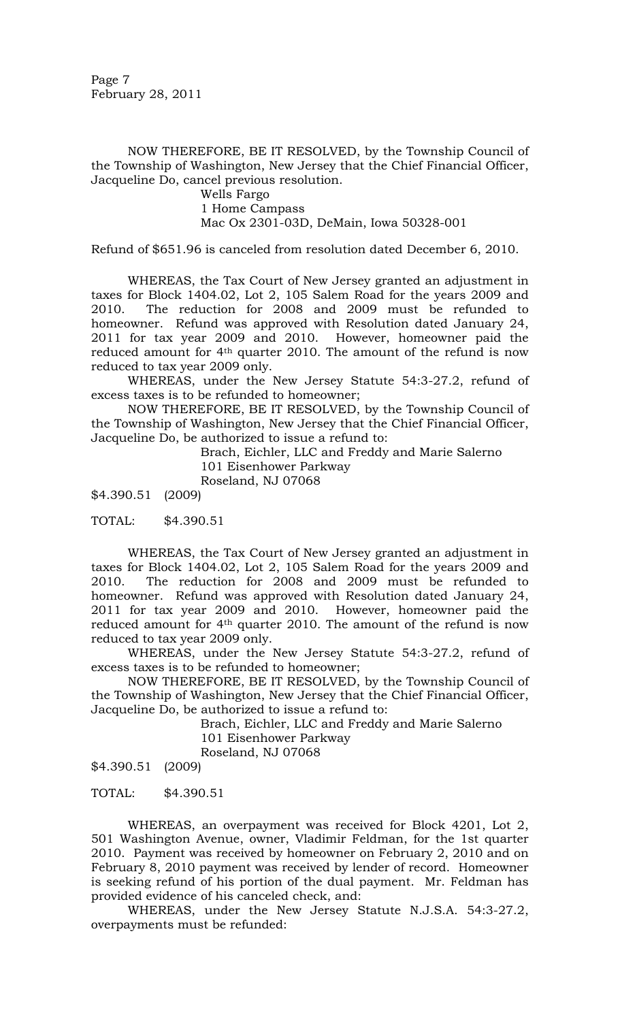Page 7 February 28, 2011

NOW THEREFORE, BE IT RESOLVED, by the Township Council of the Township of Washington, New Jersey that the Chief Financial Officer, Jacqueline Do, cancel previous resolution.

> Wells Fargo 1 Home Campass Mac Ox 2301-03D, DeMain, Iowa 50328-001

Refund of \$651.96 is canceled from resolution dated December 6, 2010.

WHEREAS, the Tax Court of New Jersey granted an adjustment in taxes for Block 1404.02, Lot 2, 105 Salem Road for the years 2009 and 2010. The reduction for 2008 and 2009 must be refunded to homeowner. Refund was approved with Resolution dated January 24, 2011 for tax year 2009 and 2010. However, homeowner paid the reduced amount for 4<sup>th</sup> quarter 2010. The amount of the refund is now reduced to tax year 2009 only.

WHEREAS, under the New Jersey Statute 54:3-27.2, refund of excess taxes is to be refunded to homeowner;

NOW THEREFORE, BE IT RESOLVED, by the Township Council of the Township of Washington, New Jersey that the Chief Financial Officer, Jacqueline Do, be authorized to issue a refund to:

> Brach, Eichler, LLC and Freddy and Marie Salerno 101 Eisenhower Parkway Roseland, NJ 07068

\$4.390.51 (2009)

TOTAL: \$4.390.51

WHEREAS, the Tax Court of New Jersey granted an adjustment in taxes for Block 1404.02, Lot 2, 105 Salem Road for the years 2009 and 2010. The reduction for 2008 and 2009 must be refunded to homeowner. Refund was approved with Resolution dated January 24, 2011 for tax year 2009 and 2010. However, homeowner paid the reduced amount for 4<sup>th</sup> quarter 2010. The amount of the refund is now reduced to tax year 2009 only.

WHEREAS, under the New Jersey Statute 54:3-27.2, refund of excess taxes is to be refunded to homeowner;

NOW THEREFORE, BE IT RESOLVED, by the Township Council of the Township of Washington, New Jersey that the Chief Financial Officer, Jacqueline Do, be authorized to issue a refund to:

> Brach, Eichler, LLC and Freddy and Marie Salerno 101 Eisenhower Parkway Roseland, NJ 07068

\$4.390.51 (2009)

TOTAL: \$4.390.51

WHEREAS, an overpayment was received for Block 4201, Lot 2, 501 Washington Avenue, owner, Vladimir Feldman, for the 1st quarter 2010. Payment was received by homeowner on February 2, 2010 and on February 8, 2010 payment was received by lender of record. Homeowner is seeking refund of his portion of the dual payment. Mr. Feldman has provided evidence of his canceled check, and:

WHEREAS, under the New Jersey Statute N.J.S.A. 54:3-27.2, overpayments must be refunded: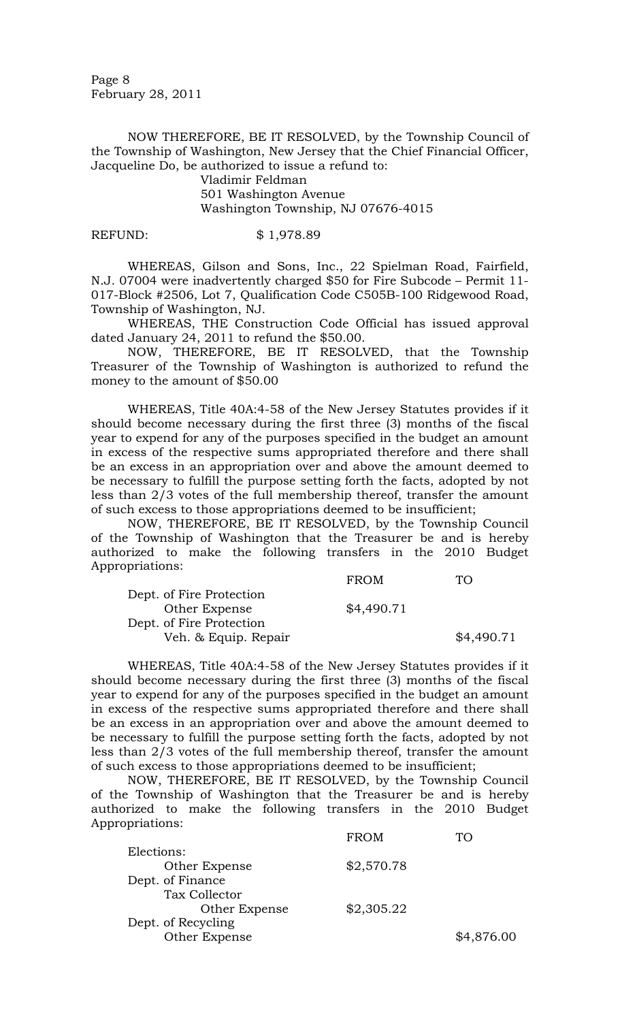Page 8 February 28, 2011

NOW THEREFORE, BE IT RESOLVED, by the Township Council of the Township of Washington, New Jersey that the Chief Financial Officer, Jacqueline Do, be authorized to issue a refund to:

> Vladimir Feldman 501 Washington Avenue Washington Township, NJ 07676-4015

#### REFUND: \$ 1,978.89

WHEREAS, Gilson and Sons, Inc., 22 Spielman Road, Fairfield, N.J. 07004 were inadvertently charged \$50 for Fire Subcode – Permit 11- 017-Block #2506, Lot 7, Qualification Code C505B-100 Ridgewood Road, Township of Washington, NJ.

 WHEREAS, THE Construction Code Official has issued approval dated January 24, 2011 to refund the \$50.00.

 NOW, THEREFORE, BE IT RESOLVED, that the Township Treasurer of the Township of Washington is authorized to refund the money to the amount of \$50.00

WHEREAS, Title 40A:4-58 of the New Jersey Statutes provides if it should become necessary during the first three (3) months of the fiscal year to expend for any of the purposes specified in the budget an amount in excess of the respective sums appropriated therefore and there shall be an excess in an appropriation over and above the amount deemed to be necessary to fulfill the purpose setting forth the facts, adopted by not less than 2/3 votes of the full membership thereof, transfer the amount of such excess to those appropriations deemed to be insufficient;

 NOW, THEREFORE, BE IT RESOLVED, by the Township Council of the Township of Washington that the Treasurer be and is hereby authorized to make the following transfers in the 2010 Budget Appropriations:

|                          | <b>FROM</b> | TO         |
|--------------------------|-------------|------------|
| Dept. of Fire Protection |             |            |
| Other Expense            | \$4,490.71  |            |
| Dept. of Fire Protection |             |            |
| Veh. & Equip. Repair     |             | \$4,490.71 |

WHEREAS, Title 40A:4-58 of the New Jersey Statutes provides if it should become necessary during the first three (3) months of the fiscal year to expend for any of the purposes specified in the budget an amount in excess of the respective sums appropriated therefore and there shall be an excess in an appropriation over and above the amount deemed to be necessary to fulfill the purpose setting forth the facts, adopted by not less than 2/3 votes of the full membership thereof, transfer the amount of such excess to those appropriations deemed to be insufficient;

 NOW, THEREFORE, BE IT RESOLVED, by the Township Council of the Township of Washington that the Treasurer be and is hereby authorized to make the following transfers in the 2010 Budget Appropriations:

|                    | <b>FROM</b> |            |
|--------------------|-------------|------------|
| Elections:         |             |            |
| Other Expense      | \$2,570.78  |            |
| Dept. of Finance   |             |            |
| Tax Collector      |             |            |
| Other Expense      | \$2,305.22  |            |
| Dept. of Recycling |             |            |
| Other Expense      |             | \$4,876.00 |
|                    |             |            |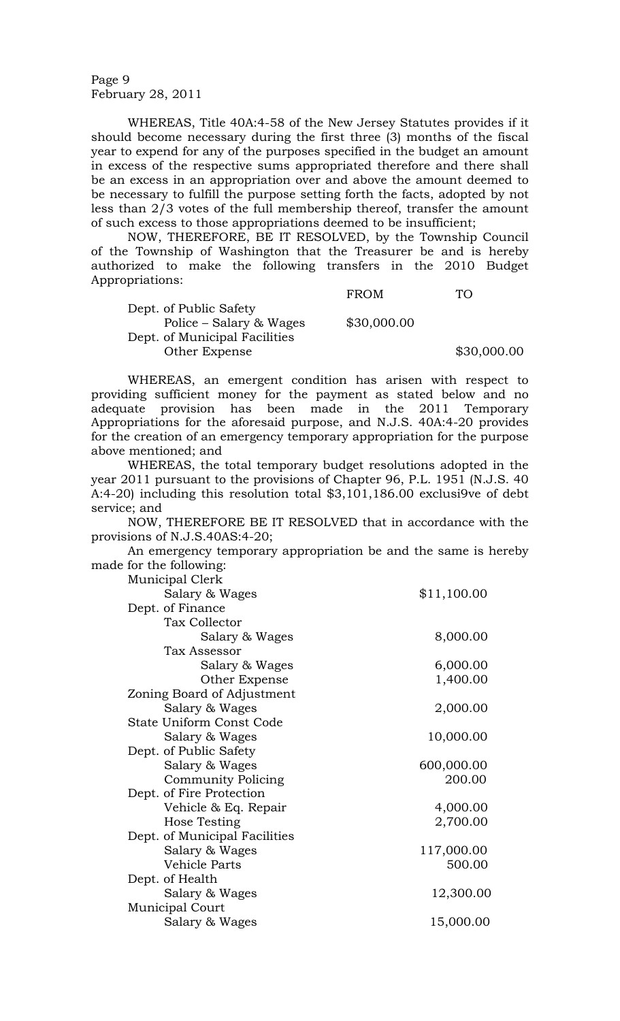Page 9 February 28, 2011

WHEREAS, Title 40A:4-58 of the New Jersey Statutes provides if it should become necessary during the first three (3) months of the fiscal year to expend for any of the purposes specified in the budget an amount in excess of the respective sums appropriated therefore and there shall be an excess in an appropriation over and above the amount deemed to be necessary to fulfill the purpose setting forth the facts, adopted by not less than 2/3 votes of the full membership thereof, transfer the amount of such excess to those appropriations deemed to be insufficient;

 NOW, THEREFORE, BE IT RESOLVED, by the Township Council of the Township of Washington that the Treasurer be and is hereby authorized to make the following transfers in the 2010 Budget Appropriations:

|                               | <b>FROM</b> | TO.  |
|-------------------------------|-------------|------|
| Dept. of Public Safety        |             |      |
| Police – Salary & Wages       | \$30,000.00 |      |
| Dept. of Municipal Facilities |             |      |
| Other Expense                 |             | \$30 |

WHEREAS, an emergent condition has arisen with respect to providing sufficient money for the payment as stated below and no adequate provision has been made in the 2011 Temporary Appropriations for the aforesaid purpose, and N.J.S. 40A:4-20 provides for the creation of an emergency temporary appropriation for the purpose above mentioned; and

 $$30,000.00$ 

 WHEREAS, the total temporary budget resolutions adopted in the year 2011 pursuant to the provisions of Chapter 96, P.L. 1951 (N.J.S. 40 A:4-20) including this resolution total \$3,101,186.00 exclusi9ve of debt service; and

 NOW, THEREFORE BE IT RESOLVED that in accordance with the provisions of N.J.S.40AS:4-20;

 An emergency temporary appropriation be and the same is hereby made for the following:

| Municipal Clerk               |             |
|-------------------------------|-------------|
| Salary & Wages                | \$11,100.00 |
| Dept. of Finance              |             |
| Tax Collector                 |             |
| Salary & Wages                | 8,000.00    |
| Tax Assessor                  |             |
| Salary & Wages                | 6,000.00    |
| Other Expense                 | 1,400.00    |
| Zoning Board of Adjustment    |             |
| Salary & Wages                | 2,000.00    |
| State Uniform Const Code      |             |
| Salary & Wages                | 10,000.00   |
| Dept. of Public Safety        |             |
| Salary & Wages                | 600,000.00  |
| <b>Community Policing</b>     | 200.00      |
| Dept. of Fire Protection      |             |
| Vehicle & Eq. Repair          | 4,000.00    |
| Hose Testing                  | 2,700.00    |
| Dept. of Municipal Facilities |             |
| Salary & Wages                | 117,000.00  |
| Vehicle Parts                 | 500.00      |
| Dept. of Health               |             |
| Salary & Wages                | 12,300.00   |
| <b>Municipal Court</b>        |             |
| Salary & Wages                | 15,000.00   |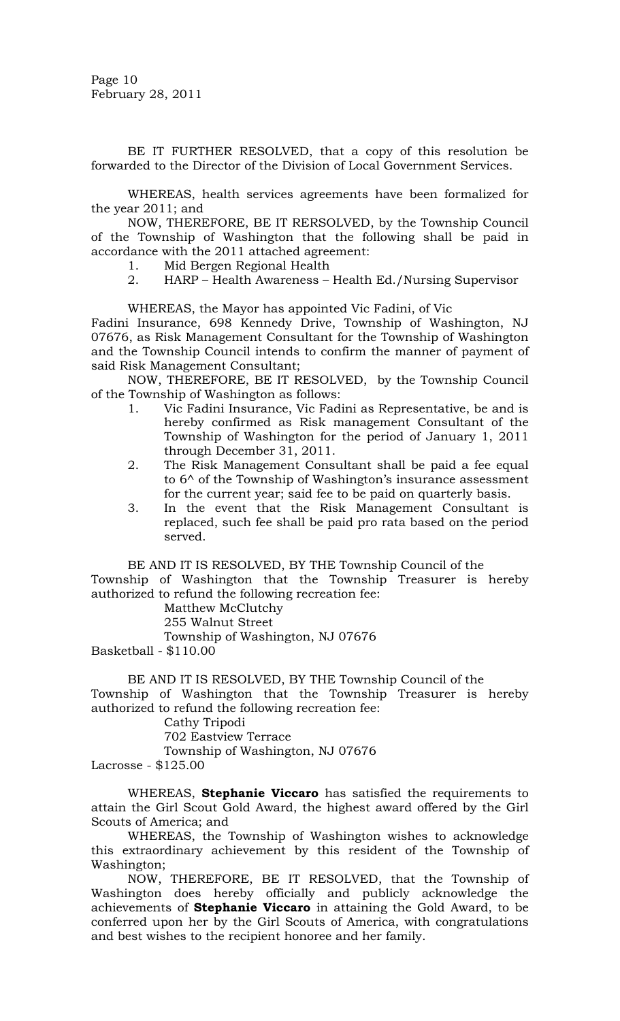BE IT FURTHER RESOLVED, that a copy of this resolution be forwarded to the Director of the Division of Local Government Services.

 WHEREAS, health services agreements have been formalized for the year 2011; and

 NOW, THEREFORE, BE IT RERSOLVED, by the Township Council of the Township of Washington that the following shall be paid in accordance with the 2011 attached agreement:

- 1. Mid Bergen Regional Health
- 2. HARP Health Awareness Health Ed./Nursing Supervisor

## WHEREAS, the Mayor has appointed Vic Fadini, of Vic

Fadini Insurance, 698 Kennedy Drive, Township of Washington, NJ 07676, as Risk Management Consultant for the Township of Washington and the Township Council intends to confirm the manner of payment of said Risk Management Consultant;

 NOW, THEREFORE, BE IT RESOLVED, by the Township Council of the Township of Washington as follows:

- 1. Vic Fadini Insurance, Vic Fadini as Representative, be and is hereby confirmed as Risk management Consultant of the Township of Washington for the period of January 1, 2011 through December 31, 2011.
- 2. The Risk Management Consultant shall be paid a fee equal to 6^ of the Township of Washington's insurance assessment for the current year; said fee to be paid on quarterly basis.
- 3. In the event that the Risk Management Consultant is replaced, such fee shall be paid pro rata based on the period served.

BE AND IT IS RESOLVED, BY THE Township Council of the Township of Washington that the Township Treasurer is hereby authorized to refund the following recreation fee:

Matthew McClutchy

255 Walnut Street

Township of Washington, NJ 07676

Basketball - \$110.00

BE AND IT IS RESOLVED, BY THE Township Council of the Township of Washington that the Township Treasurer is hereby authorized to refund the following recreation fee:

Cathy Tripodi

702 Eastview Terrace

Township of Washington, NJ 07676

Lacrosse - \$125.00

WHEREAS, **Stephanie Viccaro** has satisfied the requirements to attain the Girl Scout Gold Award, the highest award offered by the Girl Scouts of America; and

 WHEREAS, the Township of Washington wishes to acknowledge this extraordinary achievement by this resident of the Township of Washington;

 NOW, THEREFORE, BE IT RESOLVED, that the Township of Washington does hereby officially and publicly acknowledge the achievements of **Stephanie Viccaro** in attaining the Gold Award, to be conferred upon her by the Girl Scouts of America, with congratulations and best wishes to the recipient honoree and her family.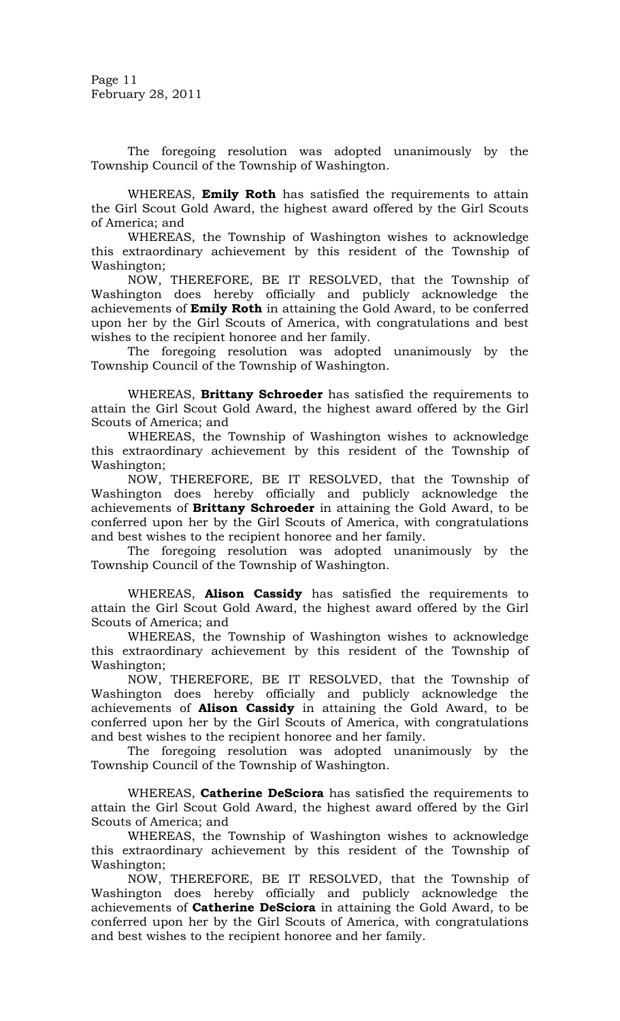Page 11 February 28, 2011

 The foregoing resolution was adopted unanimously by the Township Council of the Township of Washington.

WHEREAS, **Emily Roth** has satisfied the requirements to attain the Girl Scout Gold Award, the highest award offered by the Girl Scouts of America; and

 WHEREAS, the Township of Washington wishes to acknowledge this extraordinary achievement by this resident of the Township of Washington;

 NOW, THEREFORE, BE IT RESOLVED, that the Township of Washington does hereby officially and publicly acknowledge the achievements of **Emily Roth** in attaining the Gold Award, to be conferred upon her by the Girl Scouts of America, with congratulations and best wishes to the recipient honoree and her family.

 The foregoing resolution was adopted unanimously by the Township Council of the Township of Washington.

WHEREAS, **Brittany Schroeder** has satisfied the requirements to attain the Girl Scout Gold Award, the highest award offered by the Girl Scouts of America; and

 WHEREAS, the Township of Washington wishes to acknowledge this extraordinary achievement by this resident of the Township of Washington;

 NOW, THEREFORE, BE IT RESOLVED, that the Township of Washington does hereby officially and publicly acknowledge the achievements of **Brittany Schroeder** in attaining the Gold Award, to be conferred upon her by the Girl Scouts of America, with congratulations and best wishes to the recipient honoree and her family.

 The foregoing resolution was adopted unanimously by the Township Council of the Township of Washington.

WHEREAS, **Alison Cassidy** has satisfied the requirements to attain the Girl Scout Gold Award, the highest award offered by the Girl Scouts of America; and

 WHEREAS, the Township of Washington wishes to acknowledge this extraordinary achievement by this resident of the Township of Washington;

 NOW, THEREFORE, BE IT RESOLVED, that the Township of Washington does hereby officially and publicly acknowledge the achievements of **Alison Cassidy** in attaining the Gold Award, to be conferred upon her by the Girl Scouts of America, with congratulations and best wishes to the recipient honoree and her family.

 The foregoing resolution was adopted unanimously by the Township Council of the Township of Washington.

WHEREAS, **Catherine DeSciora** has satisfied the requirements to attain the Girl Scout Gold Award, the highest award offered by the Girl Scouts of America; and

 WHEREAS, the Township of Washington wishes to acknowledge this extraordinary achievement by this resident of the Township of Washington;

 NOW, THEREFORE, BE IT RESOLVED, that the Township of Washington does hereby officially and publicly acknowledge the achievements of **Catherine DeSciora** in attaining the Gold Award, to be conferred upon her by the Girl Scouts of America, with congratulations and best wishes to the recipient honoree and her family.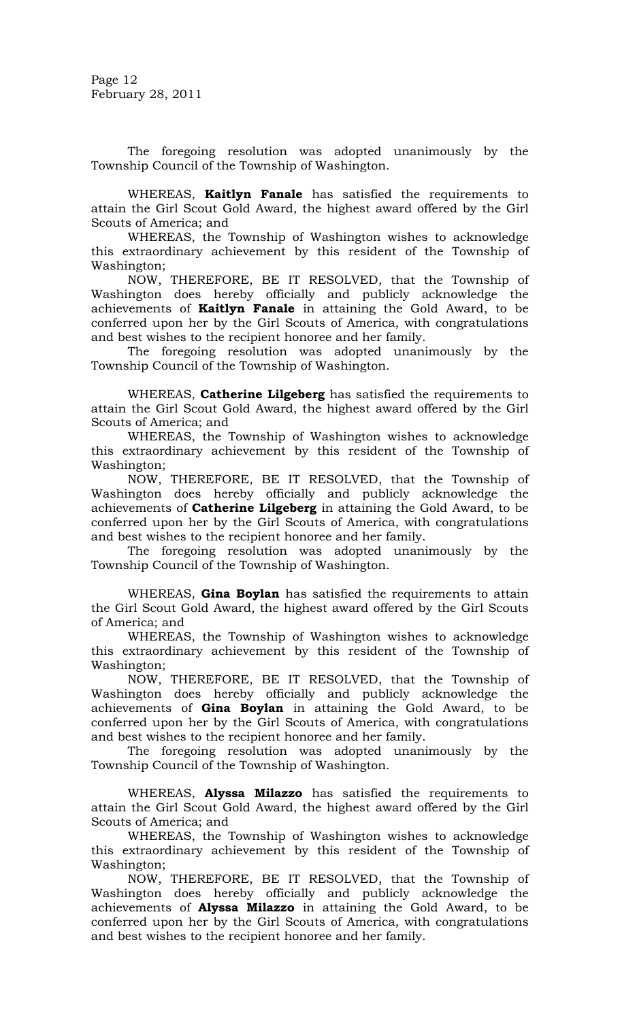Page 12 February 28, 2011

The foregoing resolution was adopted unanimously by the Township Council of the Township of Washington.

WHEREAS, **Kaitlyn Fanale** has satisfied the requirements to attain the Girl Scout Gold Award, the highest award offered by the Girl Scouts of America; and

 WHEREAS, the Township of Washington wishes to acknowledge this extraordinary achievement by this resident of the Township of Washington;

 NOW, THEREFORE, BE IT RESOLVED, that the Township of Washington does hereby officially and publicly acknowledge the achievements of **Kaitlyn Fanale** in attaining the Gold Award, to be conferred upon her by the Girl Scouts of America, with congratulations and best wishes to the recipient honoree and her family.

 The foregoing resolution was adopted unanimously by the Township Council of the Township of Washington.

WHEREAS, **Catherine Lilgeberg** has satisfied the requirements to attain the Girl Scout Gold Award, the highest award offered by the Girl Scouts of America; and

 WHEREAS, the Township of Washington wishes to acknowledge this extraordinary achievement by this resident of the Township of Washington;

 NOW, THEREFORE, BE IT RESOLVED, that the Township of Washington does hereby officially and publicly acknowledge the achievements of **Catherine Lilgeberg** in attaining the Gold Award, to be conferred upon her by the Girl Scouts of America, with congratulations and best wishes to the recipient honoree and her family.

 The foregoing resolution was adopted unanimously by the Township Council of the Township of Washington.

WHEREAS, **Gina Boylan** has satisfied the requirements to attain the Girl Scout Gold Award, the highest award offered by the Girl Scouts of America; and

 WHEREAS, the Township of Washington wishes to acknowledge this extraordinary achievement by this resident of the Township of Washington;

 NOW, THEREFORE, BE IT RESOLVED, that the Township of Washington does hereby officially and publicly acknowledge the achievements of **Gina Boylan** in attaining the Gold Award, to be conferred upon her by the Girl Scouts of America, with congratulations and best wishes to the recipient honoree and her family.

 The foregoing resolution was adopted unanimously by the Township Council of the Township of Washington.

WHEREAS, **Alyssa Milazzo** has satisfied the requirements to attain the Girl Scout Gold Award, the highest award offered by the Girl Scouts of America; and

 WHEREAS, the Township of Washington wishes to acknowledge this extraordinary achievement by this resident of the Township of Washington;

 NOW, THEREFORE, BE IT RESOLVED, that the Township of Washington does hereby officially and publicly acknowledge the achievements of **Alyssa Milazzo** in attaining the Gold Award, to be conferred upon her by the Girl Scouts of America, with congratulations and best wishes to the recipient honoree and her family.